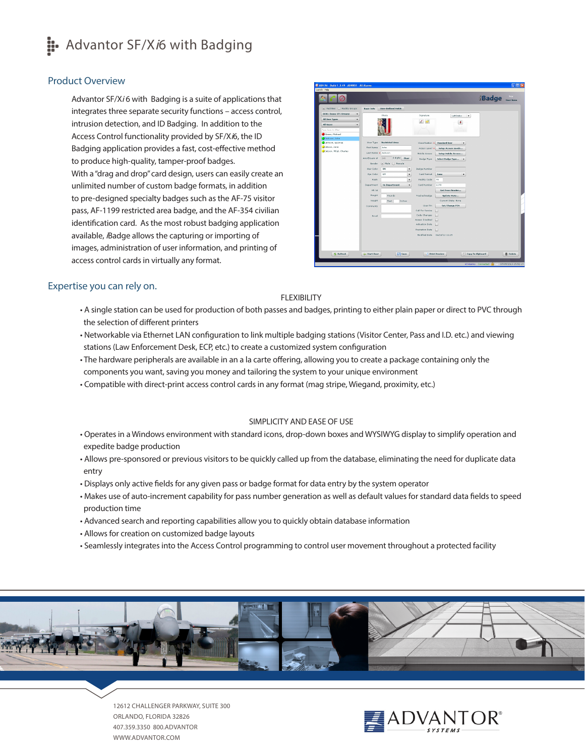# **::** Advantor SF/X*i*6 with Badging

# Product Overview

Advantor SF/Xi6 with Badging is a suite of applications that integrates three separate security functions – access control, intrusion detection, and ID Badging. In addition to the Access Control functionality provided by SF/Xi6, the ID Badging application provides a fast, cost-effective method to produce high-quality, tamper-proof badges. With a "drag and drop" card design, users can easily create an unlimited number of custom badge formats, in addition to pre-designed specialty badges such as the AF-75 visitor pass, AF-1199 restricted area badge, and the AF-354 civilian identification card. As the most robust badging application available, *i*Badge allows the capturing or importing of images, administration of user information, and printing of access control cards in virtually any format.



## Expertise you can rely on.

## FLEXIBILITY

- A single station can be used for production of both passes and badges, printing to either plain paper or direct to PVC through the selection of different printers
- Networkable via Ethernet LAN configuration to link multiple badging stations (Visitor Center, Pass and I.D. etc.) and viewing stations (Law Enforcement Desk, ECP, etc.) to create a customized system configuration
- The hardware peripherals are available in an a la carte offering, allowing you to create a package containing only the components you want, saving you money and tailoring the system to your unique environment
- Compatible with direct-print access control cards in any format (mag stripe, Wiegand, proximity, etc.)

### SIMPLICITY AND EASE OF USE

- Operates in a Windows environment with standard icons, drop-down boxes and WYSIWYG display to simplify operation and expedite badge production
- Allows pre-sponsored or previous visitors to be quickly called up from the database, eliminating the need for duplicate data entry
- Displays only active fields for any given pass or badge format for data entry by the system operator
- Makes use of auto-increment capability for pass number generation as well as default values for standard data fields to speed production time
- Advanced search and reporting capabilities allow you to quickly obtain database information
- Allows for creation on customized badge layouts
- Seamlessly integrates into the Access Control programming to control user movement throughout a protected facility



12612 CHALLENGER PARKWAY, SUITE 300 ORLANDO, FLORIDA 32826 407.359.3350 800.ADVANTOR WWW.ADVANTOR.COM